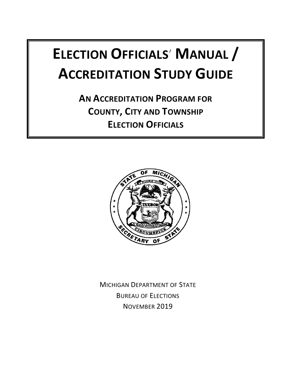# **ELECTION OFFICIALS**' **MANUAL / ACCREDITATION STUDY GUIDE**

**AN ACCREDITATION PROGRAM FOR COUNTY, CITY AND TOWNSHIP ELECTION OFFICIALS**



MICHIGAN DEPARTMENT OF STATE BUREAU OF ELECTIONS NOVEMBER 2019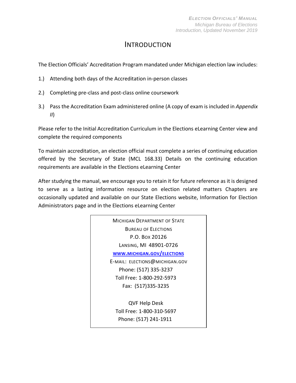# INTRODUCTION

The Election Officials' Accreditation Program mandated under Michigan election law includes:

- 1.) Attending both days of the Accreditation in-person classes
- 2.) Completing pre-class and post-class online coursework
- 3.) Pass the Accreditation Exam administered online (A copy of exam is included in *Appendix II*)

Please refer to the Initial Accreditation Curriculum in the Elections eLearning Center view and complete the required components

To maintain accreditation, an election official must complete a series of continuing education offered by the Secretary of State (MCL 168.33) Details on the continuing education requirements are available in the Elections eLearning Center

After studying the manual, we encourage you to retain it for future reference as it is designed to serve as a lasting information resource on election related matters Chapters are occasionally updated and available on our State Elections website, Information for Election Administrators page and in the Elections eLearning Center

> MICHIGAN DEPARTMENT OF STATE BUREAU OF ELECTIONS P.O. BOX 20126 LANSING, MI 48901-0726 **WWW.MICHIGAN.GOV/[ELECTIONS](http://www.michigan.gov/elections)** E-MAIL: ELECTIONS@MICHIGAN.GOV Phone: (517) 335-3237 Toll Free: 1-800-292-5973 Fax: (517)335-3235 QVF Help Desk Toll Free: 1-800-310-5697 Phone: (517) 241-1911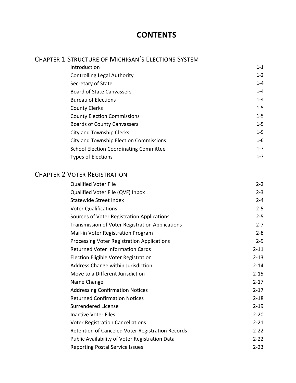# **CONTENTS**

# CHAPTER 1 STRUCTURE OF MICHIGAN'S ELECTIONS SYSTEM

| $1 - 2$ |
|---------|
| $1 - 4$ |
| $1 - 4$ |
| $1 - 4$ |
| $1 - 5$ |
| $1 - 5$ |
| $1 - 5$ |
| $1 - 5$ |
| $1 - 6$ |
| $1 - 7$ |
| $1 - 7$ |
|         |

# CHAPTER 2 VOTER REGISTRATION

| <b>Qualified Voter File</b>                      | $2 - 2$  |
|--------------------------------------------------|----------|
| Qualified Voter File (QVF) Inbox                 | $2 - 3$  |
| <b>Statewide Street Index</b>                    | $2 - 4$  |
| <b>Voter Qualifications</b>                      | $2 - 5$  |
| Sources of Voter Registration Applications       | $2 - 5$  |
| Transmission of Voter Registration Applications  | $2 - 7$  |
| Mail-in Voter Registration Program               | $2 - 8$  |
| Processing Voter Registration Applications       | $2 - 9$  |
| <b>Returned Voter Information Cards</b>          | $2 - 11$ |
| Election Eligible Voter Registration             | $2 - 13$ |
| Address Change within Jurisdiction               | $2 - 14$ |
| Move to a Different Jurisdiction                 | $2 - 15$ |
| Name Change                                      | $2 - 17$ |
| <b>Addressing Confirmation Notices</b>           | $2 - 17$ |
| <b>Returned Confirmation Notices</b>             | $2 - 18$ |
| <b>Surrendered License</b>                       | $2 - 19$ |
| <b>Inactive Voter Files</b>                      | $2 - 20$ |
| <b>Voter Registration Cancellations</b>          | $2 - 21$ |
| Retention of Canceled Voter Registration Records | $2 - 22$ |
| Public Availability of Voter Registration Data   | $2 - 22$ |
| <b>Reporting Postal Service Issues</b>           | $2 - 23$ |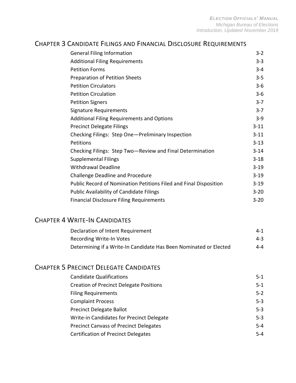#### CHAPTER 3 CANDIDATE FILINGS AND FINANCIAL DISCLOSURE REQUIREMENTS

| <b>General Filing Information</b>                                 | $3 - 2$  |
|-------------------------------------------------------------------|----------|
| <b>Additional Filing Requirements</b>                             | $3 - 3$  |
| <b>Petition Forms</b>                                             | $3 - 4$  |
| <b>Preparation of Petition Sheets</b>                             | $3 - 5$  |
| <b>Petition Circulators</b>                                       | $3 - 6$  |
| <b>Petition Circulation</b>                                       | $3-6$    |
| <b>Petition Signers</b>                                           | $3 - 7$  |
| Signature Requirements                                            | $3 - 7$  |
| <b>Additional Filing Requirements and Options</b>                 | $3 - 9$  |
| <b>Precinct Delegate Filings</b>                                  | $3 - 11$ |
| Checking Filings: Step One-Preliminary Inspection                 | $3 - 11$ |
| Petitions                                                         | $3 - 13$ |
| Checking Filings: Step Two-Review and Final Determination         | $3 - 14$ |
| <b>Supplemental Filings</b>                                       | $3 - 18$ |
| <b>Withdrawal Deadline</b>                                        | $3 - 19$ |
| <b>Challenge Deadline and Procedure</b>                           | $3 - 19$ |
| Public Record of Nomination Petitions Filed and Final Disposition | $3 - 19$ |
| <b>Public Availability of Candidate Filings</b>                   | $3 - 20$ |
| <b>Financial Disclosure Filing Requirements</b>                   | $3 - 20$ |

#### CHAPTER 4 WRITE-IN CANDIDATES

| Declaration of Intent Requirement                                 | $4 - 1$ |
|-------------------------------------------------------------------|---------|
| <b>Recording Write-In Votes</b>                                   | $4 - 3$ |
| Determining if a Write-In Candidate Has Been Nominated or Elected | 4-4     |

# CHAPTER 5 PRECINCT DELEGATE CANDIDATES

| <b>Candidate Qualifications</b>                | $5 - 1$ |
|------------------------------------------------|---------|
| <b>Creation of Precinct Delegate Positions</b> | $5 - 1$ |
| <b>Filing Requirements</b>                     | $5 - 2$ |
| <b>Complaint Process</b>                       | $5 - 3$ |
| <b>Precinct Delegate Ballot</b>                | $5 - 3$ |
| Write-in Candidates for Precinct Delegate      | $5 - 3$ |
| <b>Precinct Canvass of Precinct Delegates</b>  | $5 - 4$ |
| <b>Certification of Precinct Delegates</b>     | $5 - 4$ |
|                                                |         |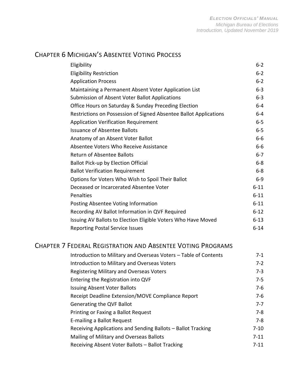# CHAPTER 6 MICHIGAN'S ABSENTEE VOTING PROCESS

| Eligibility                                                       | $6 - 2$  |
|-------------------------------------------------------------------|----------|
| <b>Eligibility Restriction</b>                                    | $6 - 2$  |
| <b>Application Process</b>                                        | $6 - 2$  |
| Maintaining a Permanent Absent Voter Application List             | $6 - 3$  |
| Submission of Absent Voter Ballot Applications                    | $6 - 3$  |
| Office Hours on Saturday & Sunday Preceding Election              | $6-4$    |
| Restrictions on Possession of Signed Absentee Ballot Applications | $6-4$    |
| <b>Application Verification Requirement</b>                       | $6 - 5$  |
| <b>Issuance of Absentee Ballots</b>                               | $6 - 5$  |
| Anatomy of an Absent Voter Ballot                                 | $6-6$    |
| Absentee Voters Who Receive Assistance                            | $6-6$    |
| <b>Return of Absentee Ballots</b>                                 | $6-7$    |
| <b>Ballot Pick-up by Election Official</b>                        | $6-8$    |
| <b>Ballot Verification Requirement</b>                            | $6 - 8$  |
| Options for Voters Who Wish to Spoil Their Ballot                 | $6-9$    |
| Deceased or Incarcerated Absentee Voter                           | $6 - 11$ |
| Penalties                                                         | $6 - 11$ |
| Posting Absentee Voting Information                               | $6 - 11$ |
| Recording AV Ballot Information in QVF Required                   | $6 - 12$ |
| Issuing AV Ballots to Election Eligible Voters Who Have Moved     | $6 - 13$ |
| <b>Reporting Postal Service Issues</b>                            | $6 - 14$ |

## CHAPTER 7 FEDERAL REGISTRATION AND ABSENTEE VOTING PROGRAMS

| Introduction to Military and Overseas Voters - Table of Contents | $7-1$    |
|------------------------------------------------------------------|----------|
| Introduction to Military and Overseas Voters                     | $7 - 2$  |
| <b>Registering Military and Overseas Voters</b>                  | $7 - 3$  |
| Entering the Registration into QVF                               | $7 - 5$  |
| <b>Issuing Absent Voter Ballots</b>                              | $7-6$    |
| Receipt Deadline Extension/MOVE Compliance Report                | $7-6$    |
| Generating the QVF Ballot                                        | $7 - 7$  |
| Printing or Faxing a Ballot Request                              | $7 - 8$  |
| E-mailing a Ballot Request                                       | $7 - 8$  |
| Receiving Applications and Sending Ballots - Ballot Tracking     | $7 - 10$ |
| Mailing of Military and Overseas Ballots                         | $7 - 11$ |
| Receiving Absent Voter Ballots - Ballot Tracking                 | $7 - 11$ |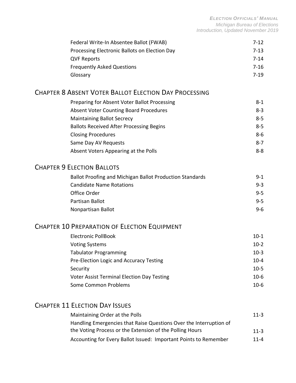| Federal Write-In Absentee Ballot (FWAB)       | $7-12$   |
|-----------------------------------------------|----------|
| Processing Electronic Ballots on Election Day | $7-13$   |
| <b>QVF Reports</b>                            | $7 - 14$ |
| <b>Frequently Asked Questions</b>             | $7 - 16$ |
| Glossary                                      | 7-19     |

#### CHAPTER 8 ABSENT VOTER BALLOT ELECTION DAY PROCESSING

| Preparing for Absent Voter Ballot Processing    | $8 - 1$ |
|-------------------------------------------------|---------|
| <b>Absent Voter Counting Board Procedures</b>   | $8 - 3$ |
| <b>Maintaining Ballot Secrecy</b>               | $8 - 5$ |
| <b>Ballots Received After Processing Begins</b> | $8 - 5$ |
| <b>Closing Procedures</b>                       | $8 - 6$ |
| Same Day AV Requests                            | $8 - 7$ |
| Absent Voters Appearing at the Polls            | $8 - 8$ |

#### CHAPTER 9 ELECTION BALLOTS

| Ballot Proofing and Michigan Ballot Production Standards | $9 - 1$ |
|----------------------------------------------------------|---------|
| <b>Candidate Name Rotations</b>                          | $9 - 3$ |
| Office Order                                             | $9 - 5$ |
| Partisan Ballot                                          | $9 - 5$ |
| Nonpartisan Ballot                                       | $9 - 6$ |

# CHAPTER 10 PREPARATION OF ELECTION EQUIPMENT

| <b>Electronic PollBook</b>                        | $10-1$   |
|---------------------------------------------------|----------|
| <b>Voting Systems</b>                             | $10-2$   |
| <b>Tabulator Programming</b>                      | $10-3$   |
| Pre-Election Logic and Accuracy Testing           | $10 - 4$ |
| Security                                          | $10-5$   |
| <b>Voter Assist Terminal Election Day Testing</b> | $10-6$   |
| Some Common Problems                              | $10-6$   |

# CHAPTER 11 ELECTION DAY ISSUES

| Maintaining Order at the Polls                                     | $11 - 3$ |
|--------------------------------------------------------------------|----------|
| Handling Emergencies that Raise Questions Over the Interruption of |          |
| the Voting Process or the Extension of the Polling Hours           | $11-3$   |
| Accounting for Every Ballot Issued: Important Points to Remember   | $11 - 4$ |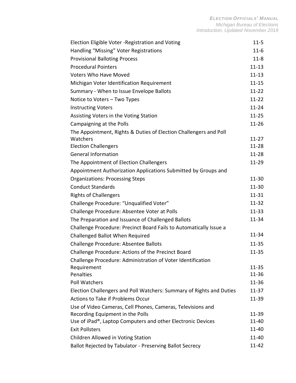| Election Eligible Voter - Registration and Voting                        | $11 - 5$  |
|--------------------------------------------------------------------------|-----------|
| Handling "Missing" Voter Registrations                                   | $11 - 6$  |
| <b>Provisional Balloting Process</b>                                     | $11 - 8$  |
| <b>Procedural Pointers</b>                                               | $11 - 13$ |
| <b>Voters Who Have Moved</b>                                             | $11 - 13$ |
| Michigan Voter Identification Requirement                                | $11 - 15$ |
| Summary - When to Issue Envelope Ballots                                 | $11 - 22$ |
| Notice to Voters - Two Types                                             | $11-22$   |
| <b>Instructing Voters</b>                                                | $11 - 24$ |
| Assisting Voters in the Voting Station                                   | $11 - 25$ |
| Campaigning at the Polls                                                 | $11 - 26$ |
| The Appointment, Rights & Duties of Election Challengers and Poll        |           |
| Watchers                                                                 | $11 - 27$ |
| <b>Election Challengers</b>                                              | 11-28     |
| <b>General Information</b>                                               | $11 - 28$ |
| The Appointment of Election Challengers                                  | 11-29     |
| Appointment Authorization Applications Submitted by Groups and           |           |
| <b>Organizations: Processing Steps</b>                                   | 11-30     |
| <b>Conduct Standards</b>                                                 | $11 - 30$ |
| <b>Rights of Challengers</b>                                             | $11 - 31$ |
| Challenge Procedure: "Unqualified Voter"                                 | $11 - 32$ |
| Challenge Procedure: Absentee Voter at Polls                             | $11 - 33$ |
| The Preparation and Issuance of Challenged Ballots                       | 11-34     |
| Challenge Procedure: Precinct Board Fails to Automatically Issue a       |           |
| Challenged Ballot When Required                                          | 11-34     |
| Challenge Procedure: Absentee Ballots                                    | $11 - 35$ |
| Challenge Procedure: Actions of the Precinct Board                       | $11 - 35$ |
| Challenge Procedure: Administration of Voter Identification              |           |
| Requirement                                                              | $11 - 35$ |
| Penalties                                                                | 11-36     |
| <b>Poll Watchers</b>                                                     | 11-36     |
| Election Challengers and Poll Watchers: Summary of Rights and Duties     | 11-37     |
| <b>Actions to Take if Problems Occur</b>                                 | 11-39     |
| Use of Video Cameras, Cell Phones, Cameras, Televisions and              |           |
| Recording Equipment in the Polls                                         | 11-39     |
| Use of iPad <sup>®</sup> , Laptop Computers and other Electronic Devices | 11-40     |
| <b>Exit Pollsters</b>                                                    | 11-40     |
| Children Allowed in Voting Station                                       | 11-40     |
| Ballot Rejected by Tabulator - Preserving Ballot Secrecy                 | 11-42     |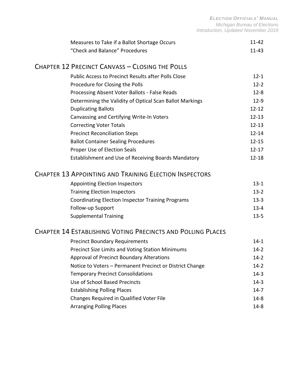*ELECTION OFFICIALS' MANUAL Michigan Bureau of Elections Introduction, Updated November 2019*

| Measures to Take if a Ballot Shortage Occurs                  | $11 - 42$ |
|---------------------------------------------------------------|-----------|
| "Check and Balance" Procedures                                | $11 - 43$ |
| <b>CHAPTER 12 PRECINCT CANVASS - CLOSING THE POLLS</b>        |           |
| <b>Public Access to Precinct Results after Polls Close</b>    | $12 - 1$  |
| Procedure for Closing the Polls                               | $12 - 2$  |
| Processing Absent Voter Ballots - False Reads                 | $12 - 8$  |
| Determining the Validity of Optical Scan Ballot Markings      | $12-9$    |
| <b>Duplicating Ballots</b>                                    | $12 - 12$ |
| Canvassing and Certifying Write-In Voters                     | $12 - 13$ |
| <b>Correcting Voter Totals</b>                                | $12 - 13$ |
| <b>Precinct Reconciliation Steps</b>                          | $12 - 14$ |
| <b>Ballot Container Sealing Procedures</b>                    | $12 - 15$ |
| Proper Use of Election Seals                                  | $12 - 17$ |
| Establishment and Use of Receiving Boards Mandatory           | $12 - 18$ |
| <b>CHAPTER 13 APPOINTING AND TRAINING ELECTION INSPECTORS</b> |           |
| <b>Appointing Election Inspectors</b>                         | $13 - 1$  |
| <b>Training Election Inspectors</b>                           | $13-2$    |
| <b>Coordinating Election Inspector Training Programs</b>      | $13 - 3$  |
| Follow-up Support                                             | $13 - 4$  |
| <b>Supplemental Training</b>                                  | $13 - 5$  |
| CHAPTER 14 ESTABLISHING VOTING PRECINCTS AND POLLING PLACES   |           |
| <b>Precinct Boundary Requirements</b>                         | 14-1      |
| Precinct Size Limits and Voting Station Minimums              | $14-2$    |
| Approval of Precinct Boundary Alterations                     | $14-2$    |
| Notice to Voters - Permanent Precinct or District Change      | $14 - 2$  |
|                                                               |           |

Temporary Precinct Consolidations 14-3 Use of School Based Precincts 14-3 Establishing Polling Places 14-7 Changes Required in Qualified Voter File 14-8 Arranging Polling Places 14-8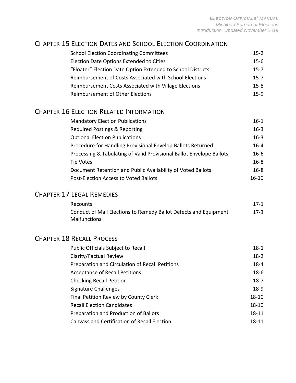#### CHAPTER 15 ELECTION DATES AND SCHOOL ELECTION COORDINATION

| <b>School Election Coordinating Committees</b>              | $15-2$   |
|-------------------------------------------------------------|----------|
| Election Date Options Extended to Cities                    | $15 - 6$ |
| "Floater" Election Date Option Extended to School Districts | $15 - 7$ |
| Reimbursement of Costs Associated with School Elections     | $15 - 7$ |
| Reimbursement Costs Associated with Village Elections       | $15-8$   |
| Reimbursement of Other Elections                            | $15-9$   |

# CHAPTER 16 ELECTION RELATED INFORMATION

| <b>Mandatory Election Publications</b>                               | $16-1$   |
|----------------------------------------------------------------------|----------|
| Required Postings & Reporting                                        | $16 - 3$ |
| <b>Optional Election Publications</b>                                | $16 - 3$ |
| Procedure for Handling Provisional Envelop Ballots Returned          | $16 - 4$ |
| Processing & Tabulating of Valid Provisional Ballot Envelope Ballots | $16 - 6$ |
| Tie Votes                                                            | $16 - 8$ |
| Document Retention and Public Availability of Voted Ballots          | $16 - 8$ |
| Post-Election Access to Voted Ballots                                | 16-10    |

# CHAPTER 17 LEGAL REMEDIES

| Recounts                                                         | $17-1$ |
|------------------------------------------------------------------|--------|
| Conduct of Mail Elections to Remedy Ballot Defects and Equipment | $17-3$ |
| <b>Malfunctions</b>                                              |        |

# CHAPTER 18 RECALL PROCESS

| Public Officials Subject to Recall              | $18-1$    |
|-------------------------------------------------|-----------|
| Clarity/Factual Review                          | $18-2$    |
| Preparation and Circulation of Recall Petitions | $18 - 4$  |
| <b>Acceptance of Recall Petitions</b>           | $18-6$    |
| <b>Checking Recall Petition</b>                 | $18-7$    |
| Signature Challenges                            | $18-9$    |
| Final Petition Review by County Clerk           | $18 - 10$ |
| <b>Recall Election Candidates</b>               | $18 - 10$ |
| Preparation and Production of Ballots           | $18 - 11$ |
| Canvass and Certification of Recall Election    | 18-11     |